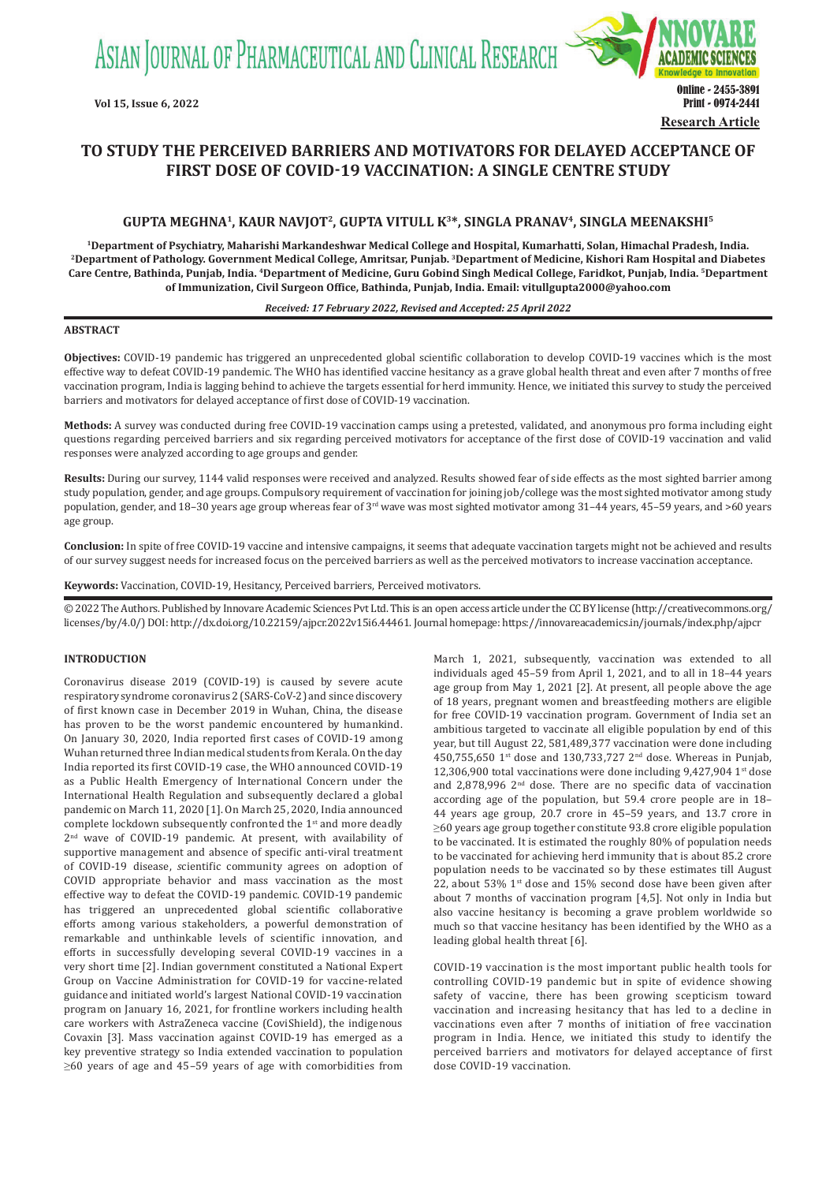ASIAN JOURNAL OF PHARMACEUTICAL AND CLINICAL RESEARCH



# **TO STUDY THE PERCEIVED BARRIERS AND MOTIVATORS FOR DELAYED ACCEPTANCE OF FIRST DOSE OF COVID-19 VACCINATION: A SINGLE CENTRE STUDY**

# **GUPTA MEGHNA1, KAUR NAVJOT2, GUPTA VITULL K<sup>3</sup>\*, SINGLA PRANAV<sup>4</sup>, SINGLA MEENAKSHI<sup>5</sup>**

<sup>1</sup>Department of Psychiatry, Maharishi Markandeshwar Medical College and Hospital, Kumarhatti, Solan, Himachal Pradesh, India.<br><sup>2</sup>Department of Pathology. Government Medical College, Amritsar, Punjab. <sup>3</sup>Department of Medi **Care Centre, Bathinda, Punjab, India. <sup>4</sup>Department of  Medicine, Guru Gobind Singh Medical College, Faridkot, Punjab, India. 5Department of Immunization, Civil Surgeon Office, Bathinda, Punjab, India. Email: vitullgupta2000@yahoo.com**

### *Received: 17 February 2022, Revised and Accepted: 25 April 2022*

# **ABSTRACT**

**Objectives:** COVID-19 pandemic has triggered an unprecedented global scientific collaboration to develop COVID-19 vaccines which is the most effective way to defeat COVID-19 pandemic. The WHO has identified vaccine hesitancy as a grave global health threat and even after 7 months of free vaccination program, India is lagging behind to achieve the targets essential for herd immunity. Hence, we initiated this survey to study the perceived barriers and motivators for delayed acceptance of first dose of COVID-19 vaccination.

**Methods:** A survey was conducted during free COVID-19 vaccination camps using a pretested, validated, and anonymous pro forma including eight questions regarding perceived barriers and six regarding perceived motivators for acceptance of the first dose of COVID-19 vaccination and valid responses were analyzed according to age groups and gender.

**Results:** During our survey, 1144 valid responses were received and analyzed. Results showed fear of side effects as the most sighted barrier among study population, gender, and age groups. Compulsory requirement of vaccination for joining job/college was the most sighted motivator among study population, gender, and 18-30 years age group whereas fear of 3<sup>rd</sup> wave was most sighted motivator among 31-44 years, 45-59 years, and >60 years age group.

**Conclusion:** In spite of free COVID-19 vaccine and intensive campaigns, it seems that adequate vaccination targets might not be achieved and results of our survey suggest needs for increased focus on the perceived barriers as well as the perceived motivators to increase vaccination acceptance.

**Keywords:** Vaccination, COVID-19, Hesitancy, Perceived barriers, Perceived motivators.

© 2022 The Authors. Published by Innovare Academic Sciences Pvt Ltd. This is an open access article under the CC BY license (http://creativecommons.org/ licenses/by/4.0/) DOI: http://dx.doi.org/10.22159/ajpcr.2022v15i6.44461. Journal homepage: https://innovareacademics.in/journals/index.php/ajpcr

### **INTRODUCTION**

Coronavirus disease 2019 (COVID-19) is caused by severe acute respiratory syndrome coronavirus 2 (SARS-CoV-2) and since discovery of first known case in December 2019 in Wuhan, China, the disease has proven to be the worst pandemic encountered by humankind. On January 30, 2020, India reported first cases of COVID-19 among Wuhan returned three Indian medical students from Kerala. On the day India reported its first COVID-19 case, the WHO announced COVID-19 as a Public Health Emergency of International Concern under the International Health Regulation and subsequently declared a global pandemic on March 11, 2020 [1]. On March 25, 2020, India announced complete lockdown subsequently confronted the 1<sup>st</sup> and more deadly 2nd wave of COVID-19 pandemic. At present, with availability of supportive management and absence of specific anti-viral treatment of COVID-19 disease, *s*cientific community agrees on adoption of COVID appropriate behavior and mass vaccination as the most effective way to defeat the COVID-19 pandemic. COVID-19 pandemic has triggered an unprecedented global scientific collaborative efforts among various stakeholders, a powerful demonstration of remarkable and unthinkable levels of scientific innovation, and efforts in successfully developing several COVID-19 vaccines in a very short time [2]. Indian government constituted a National Expert Group on Vaccine Administration for COVID-19 for vaccine-related guidance and initiated world's largest National COVID-19 vaccination program on January 16, 2021, for frontline workers including health care workers with AstraZeneca vaccine (CoviShield), the indigenous Covaxin [3]. Mass vaccination against COVID-19 has emerged as a key preventive strategy so India extended vaccination to population ≥60 years of age and 45–59 years of age with comorbidities from March 1, 2021, subsequently, vaccination was extended to all individuals aged 45–59 from April 1, 2021, and to all in 18–44 years age group from May 1, 2021 [2]. At present, all people above the age of 18 years, pregnant women and breastfeeding mothers are eligible for free COVID-19 vaccination program. Government of India set an ambitious targeted to vaccinate all eligible population by end of this year, but till August 22, 581,489,377 vaccination were done including 450,755,650 1st dose and 130,733,727 2nd dose. Whereas in Punjab, 12,306,900 total vaccinations were done including  $9,427,904$  1st dose and 2,878,996 2nd dose. There are no specific data of vaccination according age of the population, but 59.4 crore people are in 18– 44 years age group, 20.7 crore in 45–59 years, and 13.7 crore in ≥60 years age group together constitute 93.8 crore eligible population to be vaccinated. It is estimated the roughly 80% of population needs to be vaccinated for achieving herd immunity that is about 85.2 crore population needs to be vaccinated so by these estimates till August 22, about 53%  $1<sup>st</sup>$  dose and 15% second dose have been given after about 7 months of vaccination program [4,5]. Not only in India but also vaccine hesitancy is becoming a grave problem worldwide so much so that vaccine hesitancy has been identified by the WHO as a leading global health threat [6].

COVID-19 vaccination is the most important public health tools for controlling COVID-19 pandemic but in spite of evidence showing safety of vaccine, there has been growing scepticism toward vaccination and increasing hesitancy that has led to a decline in vaccinations even after 7 months of initiation of free vaccination program in India. Hence, we initiated this study to identify the perceived barriers and motivators for delayed acceptance of first dose COVID-19 vaccination.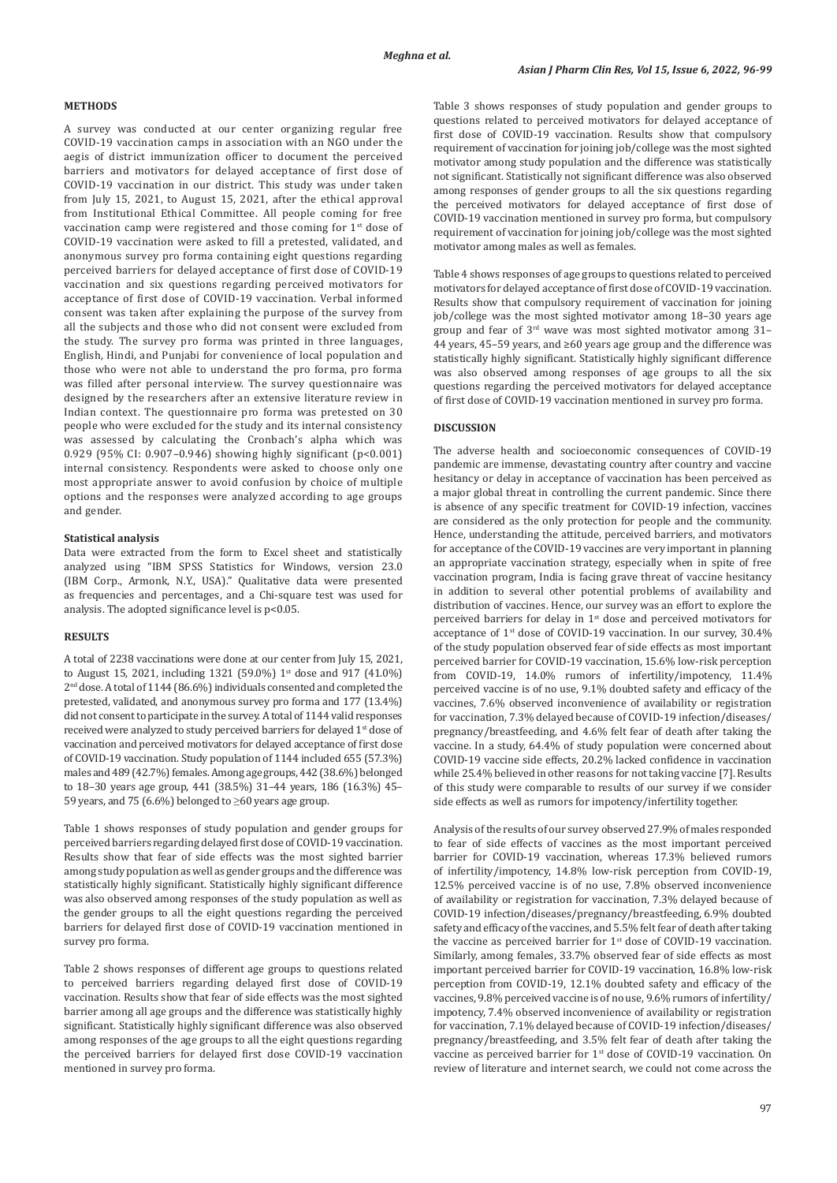#### **METHODS**

A survey was conducted at our center organizing regular free COVID-19 vaccination camps in association with an NGO under the aegis of district immunization officer to document the perceived barriers and motivators for delayed acceptance of first dose of COVID-19 vaccination in our district. This study was under taken from July 15, 2021, to August 15, 2021, after the ethical approval from Institutional Ethical Committee. All people coming for free vaccination camp were registered and those coming for  $1<sup>st</sup>$  dose of COVID-19 vaccination were asked to fill a pretested, validated, and anonymous survey pro forma containing eight questions regarding perceived barriers for delayed acceptance of first dose of COVID-19 vaccination and six questions regarding perceived motivators for acceptance of first dose of COVID-19 vaccination. Verbal informed consent was taken after explaining the purpose of the survey from all the subjects and those who did not consent were excluded from the study. The survey pro forma was printed in three languages, English, Hindi, and Punjabi for convenience of local population and those who were not able to understand the pro forma, pro forma was filled after personal interview. The survey questionnaire was designed by the researchers after an extensive literature review in Indian context. The questionnaire pro forma was pretested on 30 people who were excluded for the study and its internal consistency was assessed by calculating the Cronbach's alpha which was 0.929 (95% CI: 0.907–0.946) showing highly significant (p<0.001) internal consistency. Respondents were asked to choose only one most appropriate answer to avoid confusion by choice of multiple options and the responses were analyzed according to age groups and gender.

#### **Statistical analysis**

Data were extracted from the form to Excel sheet and statistically analyzed using "IBM SPSS Statistics for Windows, version 23.0 (IBM Corp., Armonk, N.Y., USA)." Qualitative data were presented as frequencies and percentages, and a Chi-square test was used for analysis. The adopted significance level is p<0.05.

# **RESULTS**

A total of 2238 vaccinations were done at our center from July 15, 2021, to August 15, 2021, including 1321 (59.0%) 1<sup>st</sup> dose and 917 (41.0%) 2nd dose. A total of 1144 (86.6%) individuals consented and completed the pretested, validated, and anonymous survey pro forma and 177 (13.4%) did not consent to participate in the survey. Atotal of 1144 valid responses received were analyzed to study perceived barriers for delayed 1st dose of vaccination and perceived motivators for delayed acceptance of first dose of COVID-19 vaccination. Study population of 1144 included 655 (57.3%) males and 489(42.7%) females. Among age groups, 442(38.6%) belonged to 18–30 years age group, 441 (38.5%) 31–44 years, 186 (16.3%) 45– 59 years, and 75 (6.6%) belonged to ≥60 years age group.

Table 1 shows responses of study population and gender groups for perceived barriers regarding delayed first dose of COVID-19 vaccination. Results show that fear of side effects was the most sighted barrier among study population as well as gender groups and the difference was statistically highly significant. Statistically highly significant difference was also observed among responses of the study population as well as the gender groups to all the eight questions regarding the perceived barriers for delayed first dose of COVID-19 vaccination mentioned in survey pro forma.

Table 2 shows responses of different age groups to questions related to perceived barriers regarding delayed first dose of COVID-19 vaccination. Results show that fear of side effects was the most sighted barrier among all age groups and the difference was statistically highly significant. Statistically highly significant difference was also observed among responses of the age groups to all the eight questions regarding the perceived barriers for delayed first dose COVID-19 vaccination mentioned in survey pro forma.

Table 3 shows responses of study population and gender groups to questions related to perceived motivators for delayed acceptance of first dose of COVID-19 vaccination. Results show that compulsory requirement of vaccination for joining job/college was the most sighted motivator among study population and the difference was statistically not significant. Statistically not significant difference was also observed among responses of gender groups to all the six questions regarding the perceived motivators for delayed acceptance of first dose of COVID-19 vaccination mentioned in survey pro forma, but compulsory requirement of vaccination for joining job/college was the most sighted motivator among males as well as females.

Table 4 shows responses of age groups to questions related to perceived motivators for delayed acceptance of first dose of COVID-19 vaccination. Results show that compulsory requirement of vaccination for joining job/college was the most sighted motivator among 18–30 years age group and fear of 3rd wave was most sighted motivator among 31– 44 years, 45–59 years, and ≥60 years age group and the difference was statistically highly significant. Statistically highly significant difference was also observed among responses of age groups to all the six questions regarding the perceived motivators for delayed acceptance of first dose of COVID-19 vaccination mentioned in survey pro forma.

#### **DISCUSSION**

The adverse health and socioeconomic consequences of COVID-19 pandemic are immense, devastating country after country and vaccine hesitancy or delay in acceptance of vaccination has been perceived as a major global threat in controlling the current pandemic. Since there is absence of any specific treatment for COVID-19 infection, vaccines are considered as the only protection for people and the community. Hence, understanding the attitude, perceived barriers, and motivators for acceptance of the COVID-19 vaccines are very important in planning an appropriate vaccination strategy, especially when in spite of free vaccination program, India is facing grave threat of vaccine hesitancy in addition to several other potential problems of availability and distribution of vaccines. Hence, our survey was an effort to explore the perceived barriers for delay in 1<sup>st</sup> dose and perceived motivators for acceptance of 1st dose of COVID-19 vaccination. In our survey, 30.4% of the study population observed fear of side effects as most important perceived barrier for COVID-19 vaccination, 15.6% low-risk perception from COVID-19, 14.0% rumors of infertility/impotency, 11.4% perceived vaccine is of no use, 9.1% doubted safety and efficacy of the vaccines, 7.6% observed inconvenience of availability or registration for vaccination, 7.3% delayed because of COVID-19 infection/diseases/ pregnancy/breastfeeding, and 4.6% felt fear of death after taking the vaccine. In a study, 64.4% of study population were concerned about COVID-19 vaccine side effects, 20.2% lacked confidence in vaccination while 25.4% believed in other reasons for not taking vaccine [7]. Results of this study were comparable to results of our survey if we consider side effects as well as rumors for impotency/infertility together.

Analysis of the results of our survey observed 27.9% of males responded to fear of side effects of vaccines as the most important perceived barrier for COVID-19 vaccination, whereas 17.3% believed rumors of infertility/impotency, 14.8% low-risk perception from COVID-19, 12.5% perceived vaccine is of no use, 7.8% observed inconvenience of availability or registration for vaccination, 7.3% delayed because of COVID-19 infection/diseases/pregnancy/breastfeeding, 6.9% doubted safety and efficacy of the vaccines, and 5.5% felt fear of death after taking the vaccine as perceived barrier for  $1<sup>st</sup>$  dose of COVID-19 vaccination. Similarly, among females, 33.7% observed fear of side effects as most important perceived barrier for COVID-19 vaccination, 16.8% low-risk perception from COVID-19, 12.1% doubted safety and efficacy of the vaccines, 9.8% perceived vaccine is of no use, 9.6% rumors of infertility/ impotency, 7.4% observed inconvenience of availability or registration for vaccination, 7.1% delayed because of COVID-19 infection/diseases/ pregnancy/breastfeeding, and 3.5% felt fear of death after taking the vaccine as perceived barrier for 1<sup>st</sup> dose of COVID-19 vaccination. On review of literature and internet search, we could not come across the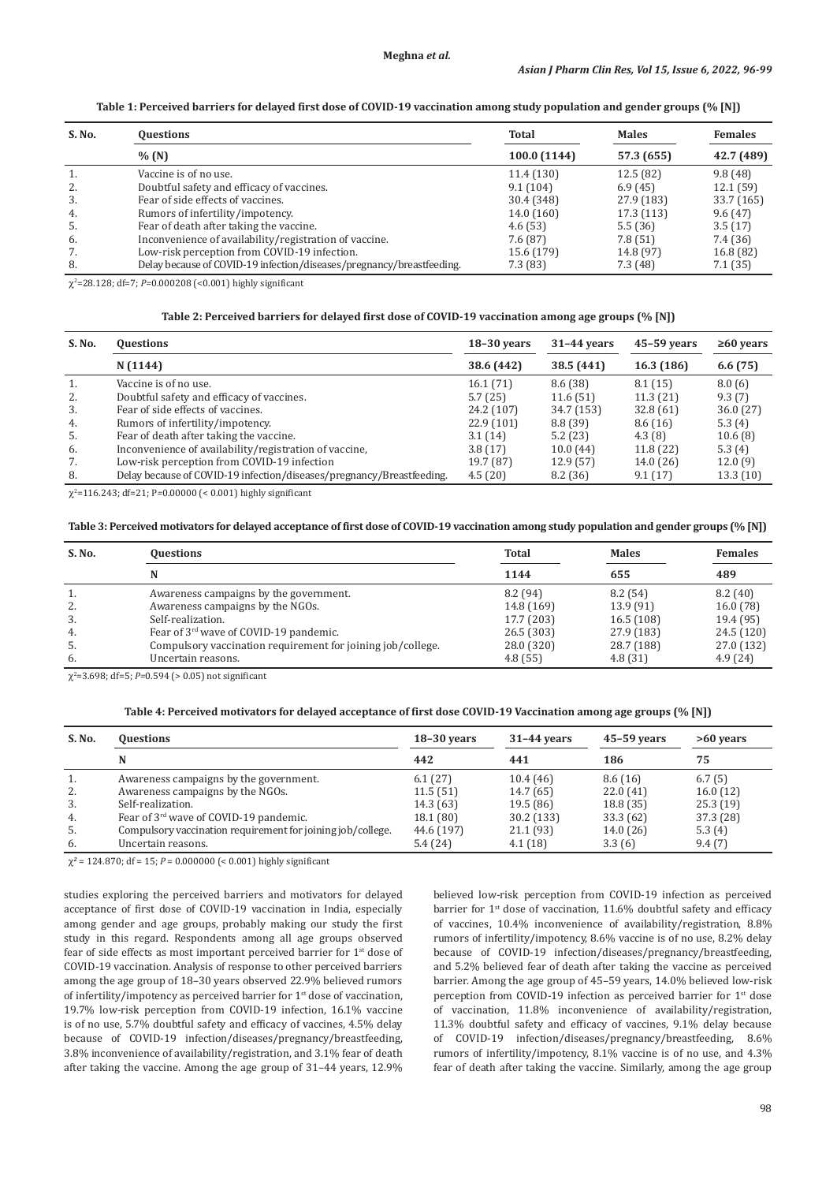# **Table 1: Perceived barriers for delayed first dose of COVID‑19 vaccination among study population and gender groups (% [N])**

| S. No. | <b>Questions</b>                                                      | Total        | <b>Males</b> | <b>Females</b> |  |
|--------|-----------------------------------------------------------------------|--------------|--------------|----------------|--|
|        | % (N)                                                                 | 100.0 (1144) | 57.3 (655)   | 42.7 (489)     |  |
| 1.     | Vaccine is of no use.                                                 | 11.4(130)    | 12.5(82)     | 9.8(48)        |  |
| 2.     | Doubtful safety and efficacy of vaccines.                             | 9.1(104)     | 6.9(45)      | 12.1(59)       |  |
| 3.     | Fear of side effects of vaccines.                                     | 30.4 (348)   | 27.9 (183)   | 33.7 (165)     |  |
| 4.     | Rumors of infertility/impotency.                                      | 14.0 (160)   | 17.3 (113)   | 9.6(47)        |  |
| 5.     | Fear of death after taking the vaccine.                               | 4.6(53)      | 5.5(36)      | 3.5(17)        |  |
| 6.     | Inconvenience of availability/registration of vaccine.                | 7.6 (87)     | 7.8(51)      | 7.4 (36)       |  |
| 7.     | Low-risk perception from COVID-19 infection.                          | 15.6 (179)   | 14.8 (97)    | 16.8 (82)      |  |
| 8.     | Delay because of COVID-19 infection/diseases/pregnancy/breastfeeding. | 7.3 (83)     | 7.3(48)      | 7.1(35)        |  |

χ2 =28.128; df=7; *P=*0.000208 (<0.001) highly significant

# **Table 2: Perceived barriers for delayed first dose of COVID‑19 vaccination among age groups (% [N])**

| S. No. | <b>Questions</b>                                                      | $18-30$ years | $31-44$ years | $45 - 59$ years | $\geq 60$ years |
|--------|-----------------------------------------------------------------------|---------------|---------------|-----------------|-----------------|
|        | N(1144)                                                               | 38.6 (442)    | 38.5 (441)    | 16.3 (186)      | 6.6(75)         |
| 1.     | Vaccine is of no use.                                                 | 16.1(71)      | 8.6(38)       | 8.1(15)         | 8.0(6)          |
| 2.     | Doubtful safety and efficacy of vaccines.                             | 5.7(25)       | 11.6(51)      | 11.3(21)        | 9.3(7)          |
| 3.     | Fear of side effects of vaccines.                                     | 24.2 (107)    | 34.7 (153)    | 32.8(61)        | 36.0(27)        |
| 4.     | Rumors of infertility/impotency.                                      | 22.9(101)     | 8.8 (39)      | 8.6(16)         | 5.3(4)          |
| 5.     | Fear of death after taking the vaccine.                               | 3.1(14)       | 5.2(23)       | 4.3(8)          | 10.6(8)         |
| 6.     | Inconvenience of availability/registration of vaccine,                | 3.8(17)       | 10.0(44)      | 11.8(22)        | 5.3(4)          |
| 7.     | Low-risk perception from COVID-19 infection                           | 19.7 (87)     | 12.9(57)      | 14.0(26)        | 12.0(9)         |
| 8.     | Delay because of COVID-19 infection/diseases/pregnancy/Breastfeeding. | 4.5(20)       | 8.2(36)       | 9.1(17)         | 13.3(10)        |

χ2 =116.243; df=21; P*=*0.00000 (< 0.001) highly significant

# **Table 3: Perceived motivators for delayed acceptance of first dose of COVID‑19 vaccination among study population and gender groups (% [N])**

| S. No. | <b>Questions</b>                                            | <b>Total</b> | <b>Males</b> | <b>Females</b> |
|--------|-------------------------------------------------------------|--------------|--------------|----------------|
|        |                                                             | 1144         | 655          | 489            |
| τ.     | Awareness campaigns by the government.                      | 8.2(94)      | 8.2(54)      | 8.2(40)        |
| 2.     | Awareness campaigns by the NGOs.                            | 14.8 (169)   | 13.9(91)     | 16.0(78)       |
| 3.     | Self-realization.                                           | 17.7 (203)   | 16.5(108)    | 19.4 (95)      |
| 4.     | Fear of 3 <sup>rd</sup> wave of COVID-19 pandemic.          | 26.5(303)    | 27.9 (183)   | 24.5 (120)     |
| 5.     | Compulsory vaccination requirement for joining job/college. | 28.0 (320)   | 28.7 (188)   | 27.0 (132)     |
| 6.     | Uncertain reasons.                                          | 4.8(55)      | 4.8(31)      | 4.9(24)        |

χ2 =3.698; df=5; *P=*0.594 (> 0.05) not significant

#### **Table 4: Perceived motivators for delayed acceptance of first dose COVID‑19 Vaccination among age groups (% [N])**

| S. No. | <b>Questions</b>                                            | $18-30$ years | $31-44$ years | $45 - 59$ years | $>60$ years |
|--------|-------------------------------------------------------------|---------------|---------------|-----------------|-------------|
|        | N                                                           | 442           | 441           | 186             | 75          |
| 1.     | Awareness campaigns by the government.                      | 6.1(27)       | 10.4(46)      | 8.6(16)         | 6.7(5)      |
| 2.     | Awareness campaigns by the NGOs.                            | 11.5(51)      | 14.7 (65)     | 22.0(41)        | 16.0(12)    |
| 3.     | Self-realization.                                           | 14.3 (63)     | 19.5(86)      | 18.8(35)        | 25.3(19)    |
| 4.     | Fear of 3 <sup>rd</sup> wave of COVID-19 pandemic.          | 18.1(80)      | 30.2 (133)    | 33.3(62)        | 37.3 (28)   |
| 5.     | Compulsory vaccination requirement for joining job/college. | 44.6 (197)    | 21.1(93)      | 14.0(26)        | 5.3(4)      |
| 6.     | Uncertain reasons.                                          | 5.4(24)       | 4.1(18)       | 3.3(6)          | 9.4(7)      |

χ*<sup>2</sup>* = 124.870; df = 15; *P* = 0.000000 (< 0.001) highly significant

studies exploring the perceived barriers and motivators for delayed acceptance of first dose of COVID-19 vaccination in India, especially among gender and age groups, probably making our study the first study in this regard. Respondents among all age groups observed fear of side effects as most important perceived barrier for 1st dose of COVID-19 vaccination. Analysis of response to other perceived barriers among the age group of 18–30 years observed 22.9% believed rumors of infertility/impotency as perceived barrier for  $1<sup>st</sup>$  dose of vaccination, 19.7% low-risk perception from COVID-19 infection, 16.1% vaccine is of no use, 5.7% doubtful safety and efficacy of vaccines, 4.5% delay because of COVID-19 infection/diseases/pregnancy/breastfeeding, 3.8% inconvenience of availability/registration, and 3.1% fear of death after taking the vaccine. Among the age group of 31–44 years, 12.9%

believed low-risk perception from COVID-19 infection as perceived barrier for 1<sup>st</sup> dose of vaccination, 11.6% doubtful safety and efficacy of vaccines, 10.4% inconvenience of availability/registration, 8.8% rumors of infertility/impotency, 8.6% vaccine is of no use, 8.2% delay because of COVID-19 infection/diseases/pregnancy/breastfeeding, and 5.2% believed fear of death after taking the vaccine as perceived barrier. Among the age group of 45–59 years, 14.0% believed low-risk perception from COVID-19 infection as perceived barrier for 1<sup>st</sup> dose of vaccination, 11.8% inconvenience of availability/registration, 11.3% doubtful safety and efficacy of vaccines, 9.1% delay because of COVID-19 infection/diseases/pregnancy/breastfeeding, 8.6% rumors of infertility/impotency, 8.1% vaccine is of no use, and 4.3% fear of death after taking the vaccine. Similarly, among the age group